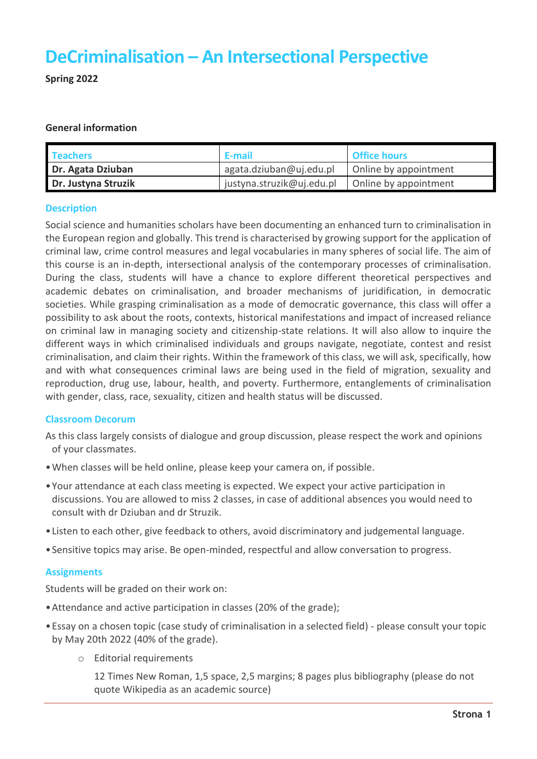# **DeCriminalisation – An Intersectional Perspective**

**Spring 2022**

### **General information**

| <b>Teachers</b>     | E-mail                    | <b>Office hours</b>   |
|---------------------|---------------------------|-----------------------|
| Dr. Agata Dziuban   | agata.dziuban@uj.edu.pl   | Online by appointment |
| Dr. Justyna Struzik | justyna.struzik@uj.edu.pl | Online by appointment |

#### **Description**

Social science and humanities scholars have been documenting an enhanced turn to criminalisation in the European region and globally. This trend is characterised by growing support for the application of criminal law, crime control measures and legal vocabularies in many spheres of social life. The aim of this course is an in-depth, intersectional analysis of the contemporary processes of criminalisation. During the class, students will have a chance to explore different theoretical perspectives and academic debates on criminalisation, and broader mechanisms of juridification, in democratic societies. While grasping criminalisation as a mode of democratic governance, this class will offer a possibility to ask about the roots, contexts, historical manifestations and impact of increased reliance on criminal law in managing society and citizenship-state relations. It will also allow to inquire the different ways in which criminalised individuals and groups navigate, negotiate, contest and resist criminalisation, and claim their rights. Within the framework of this class, we will ask, specifically, how and with what consequences criminal laws are being used in the field of migration, sexuality and reproduction, drug use, labour, health, and poverty. Furthermore, entanglements of criminalisation with gender, class, race, sexuality, citizen and health status will be discussed.

### **Classroom Decorum**

As this class largely consists of dialogue and group discussion, please respect the work and opinions of your classmates.

- •When classes will be held online, please keep your camera on, if possible.
- •Your attendance at each class meeting is expected. We expect your active participation in discussions. You are allowed to miss 2 classes, in case of additional absences you would need to consult with dr Dziuban and dr Struzik.
- •Listen to each other, give feedback to others, avoid discriminatory and judgemental language.
- •Sensitive topics may arise. Be open-minded, respectful and allow conversation to progress.

### **Assignments**

Students will be graded on their work on:

- •Attendance and active participation in classes (20% of the grade);
- •Essay on a chosen topic (case study of criminalisation in a selected field) please consult your topic by May 20th 2022 (40% of the grade).
	- o Editorial requirements

12 Times New Roman, 1,5 space, 2,5 margins; 8 pages plus bibliography (please do not quote Wikipedia as an academic source)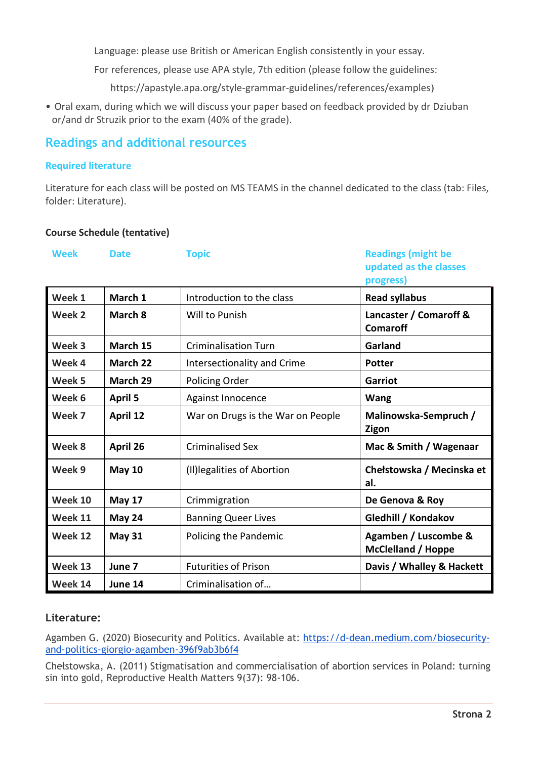Language: please use British or American English consistently in your essay.

For references, please use APA style, 7th edition (please follow the guidelines:

https://apastyle.apa.org/style-grammar-guidelines/references/examples)

• Oral exam, during which we will discuss your paper based on feedback provided by dr Dziuban or/and dr Struzik prior to the exam (40% of the grade).

## **Readings and additional resources**

### **Required literature**

Literature for each class will be posted on MS TEAMS in the channel dedicated to the class (tab: Files, folder: Literature).

### **Course Schedule (tentative)**

| <b>Week</b> | <b>Date</b>    | <b>Topic</b>                      | <b>Readings (might be</b><br>updated as the classes<br>progress) |
|-------------|----------------|-----------------------------------|------------------------------------------------------------------|
| Week 1      | March 1        | Introduction to the class         | <b>Read syllabus</b>                                             |
| Week 2      | March 8        | Will to Punish                    | Lancaster / Comaroff &<br><b>Comaroff</b>                        |
| Week 3      | March 15       | <b>Criminalisation Turn</b>       | Garland                                                          |
| Week 4      | March 22       | Intersectionality and Crime       | <b>Potter</b>                                                    |
| Week 5      | March 29       | Policing Order                    | Garriot                                                          |
| Week 6      | <b>April 5</b> | Against Innocence                 | <b>Wang</b>                                                      |
| Week 7      | April 12       | War on Drugs is the War on People | Malinowska-Sempruch /<br>Zigon                                   |
| Week 8      | April 26       | <b>Criminalised Sex</b>           | Mac & Smith / Wagenaar                                           |
| Week 9      | <b>May 10</b>  | (II) legalities of Abortion       | Chełstowska / Mecinska et<br>al.                                 |
| Week 10     | <b>May 17</b>  | Crimmigration                     | De Genova & Roy                                                  |
| Week 11     | May 24         | <b>Banning Queer Lives</b>        | Gledhill / Kondakov                                              |
| Week 12     | <b>May 31</b>  | Policing the Pandemic             | Agamben / Luscombe &<br><b>McClelland / Hoppe</b>                |
| Week 13     | June 7         | <b>Futurities of Prison</b>       | Davis / Whalley & Hackett                                        |
| Week 14     | June 14        | Criminalisation of                |                                                                  |

### **Literature:**

Agamben G. (2020) Biosecurity and Politics. Available at: [https://d-dean.medium.com/biosecurity](https://d-dean.medium.com/biosecurity-and-politics-giorgio-agamben-396f9ab3b6f4)[and-politics-giorgio-agamben-396f9ab3b6f4](https://d-dean.medium.com/biosecurity-and-politics-giorgio-agamben-396f9ab3b6f4)

Chełstowska, A. (2011) Stigmatisation and commercialisation of abortion services in Poland: turning sin into gold, Reproductive Health Matters 9(37): 98-106.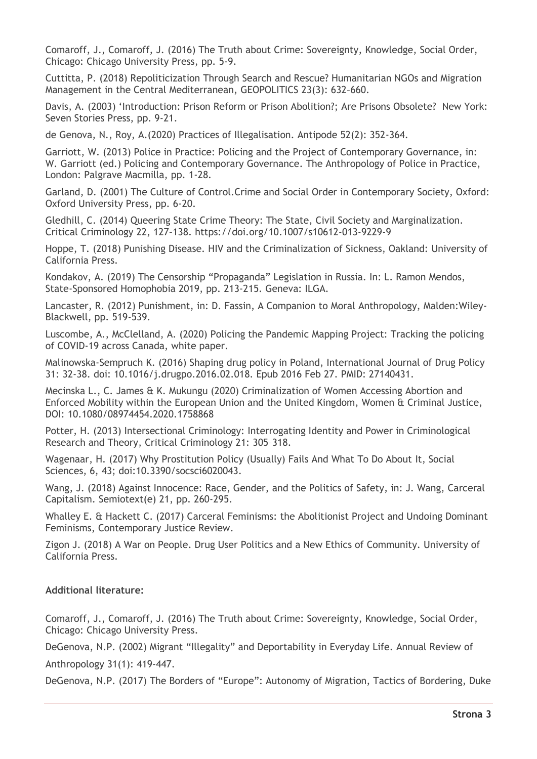Comaroff, J., Comaroff, J. (2016) The Truth about Crime: Sovereignty, Knowledge, Social Order, Chicago: Chicago University Press, pp. 5-9.

Cuttitta, P. (2018) Repoliticization Through Search and Rescue? Humanitarian NGOs and Migration Management in the Central Mediterranean, GEOPOLITICS 23(3): 632–660.

Davis, A. (2003) 'Introduction: Prison Reform or Prison Abolition?; Are Prisons Obsolete?New York: Seven Stories Press, pp. 9-21.

de Genova, N., Roy, A.(2020) Practices of Illegalisation. Antipode 52(2): 352-364.

Garriott, W. (2013) Police in Practice: Policing and the Project of Contemporary Governance, in: W. Garriott (ed.) Policing and Contemporary Governance. The Anthropology of Police in Practice, London: Palgrave Macmilla, pp. 1-28.

Garland, D. (2001) The Culture of Control.Crime and Social Order in Contemporary Society, Oxford: Oxford University Press, pp. 6-20.

Gledhill, C. (2014) Queering State Crime Theory: The State, Civil Society and Marginalization. Critical Criminology 22, 127–138. https://doi.org/10.1007/s10612-013-9229-9

Hoppe, T. (2018) Punishing Disease. HIV and the Criminalization of Sickness, Oakland: University of California Press.

Kondakov, A. (2019) The Censorship "Propaganda" Legislation in Russia. In: L. Ramon Mendos, State-Sponsored Homophobia 2019, pp. 213-215. Geneva: ILGA.

Lancaster, R. (2012) Punishment, in: D. Fassin, A Companion to Moral Anthropology, Malden:Wiley-Blackwell, pp. 519-539.

Luscombe, A., McClelland, A. (2020) Policing the Pandemic Mapping Project: Tracking the policing of COVID-19 across Canada, white paper.

Malinowska-Sempruch K. (2016) Shaping drug policy in Poland, International Journal of Drug Policy 31: 32-38. doi: 10.1016/j.drugpo.2016.02.018. Epub 2016 Feb 27. PMID: 27140431.

Mecinska L., C. James & K. Mukungu (2020) Criminalization of Women Accessing Abortion and Enforced Mobility within the European Union and the United Kingdom, Women & Criminal Justice, DOI: 10.1080/08974454.2020.1758868

Potter, H. (2013) Intersectional Criminology: Interrogating Identity and Power in Criminological Research and Theory, Critical Criminology 21: 305–318.

Wagenaar, H. (2017) Why Prostitution Policy (Usually) Fails And What To Do About It, Social Sciences, 6, 43; doi:10.3390/socsci6020043.

Wang, J. (2018) Against Innocence: Race, Gender, and the Politics of Safety, in: J. Wang, Carceral Capitalism. Semiotext(e) 21, pp. 260-295.

Whalley E. & Hackett C. (2017) Carceral Feminisms: the Abolitionist Project and Undoing Dominant Feminisms, Contemporary Justice Review.

Zigon J. (2018) A War on People. Drug User Politics and a New Ethics of Community. University of California Press.

### **Additional literature:**

Comaroff, J., Comaroff, J. (2016) The Truth about Crime: Sovereignty, Knowledge, Social Order, Chicago: Chicago University Press.

DeGenova, N.P. (2002) Migrant "Illegality" and Deportability in Everyday Life. Annual Review of

Anthropology 31(1): 419-447.

DeGenova, N.P. (2017) The Borders of "Europe": Autonomy of Migration, Tactics of Bordering, Duke